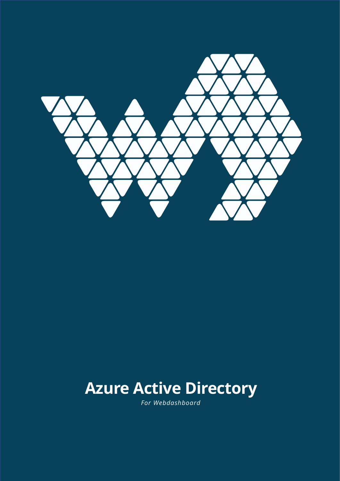

# **Azure Active Directory**

*For Webdashboard*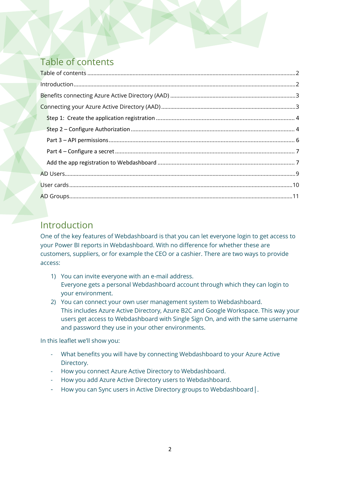# <span id="page-1-0"></span>Table of contents

# <span id="page-1-1"></span>Introduction

One of the key features of Webdashboard is that you can let everyone login to get access to your Power BI reports in Webdashboard. With no difference for whether these are customers, suppliers, or for example the CEO or a cashier. There are two ways to provide access:

- 1) You can invite everyone with an e-mail address. Everyone gets a personal Webdashboard account through which they can login to your environment.
- 2) You can connect your own user management system to Webdashboard. This includes Azure Active Directory, Azure B2C and Google Workspace. This way your users get access to Webdashboard with Single Sign On, and with the same username and password they use in your other environments.

In this leaflet we'll show you:

- What benefits you will have by connecting Webdashboard to your Azure Active Directory.
- How you connect Azure Active Directory to Webdashboard.
- How you add Azure Active Directory users to Webdashboard.
- How you can Sync users in Active Directory groups to Webdashboard|.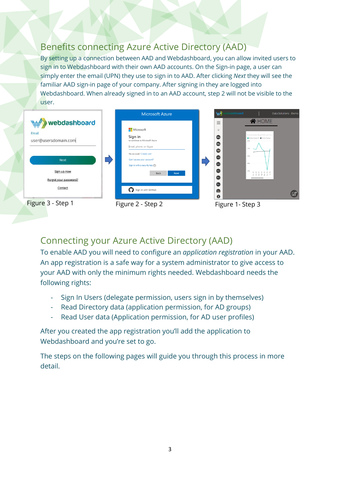# <span id="page-2-0"></span>Benefits connecting Azure Active Directory (AAD)

By setting up a connection between AAD and Webdashboard, you can allow invited users to sign in to Webdashboard with their own AAD accounts. On the Sign-in page, a user can simply enter the email (UPN) they use to sign in to AAD. After clicking *Next* they will see the familiar AAD sign-in page of your company. After signing in they are logged into Webdashboard. When already signed in to an AAD account, step 2 will not be visible to the user.



# <span id="page-2-1"></span>Connecting your Azure Active Directory (AAD)

To enable AAD you will need to configure an *application registration* in your AAD. An app registration is a safe way for a system administrator to give access to your AAD with only the minimum rights needed. Webdashboard needs the following rights:

- Sign In Users (delegate permission, users sign in by themselves)
- Read Directory data (application permission, for AD groups)
- Read User data (Application permission, for AD user profiles)

After you created the app registration you'll add the application to Webdashboard and you're set to go.

The steps on the following pages will guide you through this process in more detail.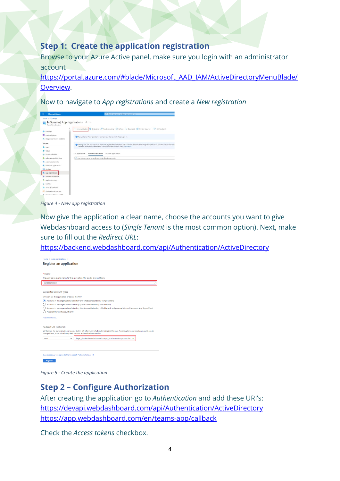#### <span id="page-3-0"></span>**Step 1: Create the application registration**

Browse to your Azure Active panel, make sure you login with an administrator account

[https://portal.azure.com/#blade/Microsoft\\_AAD\\_IAM/ActiveDirectoryMenuBlade/](https://portal.azure.com/#blade/Microsoft_AAD_IAM/ActiveDirectoryMenuBlade/Overview) [Overview.](https://portal.azure.com/#blade/Microsoft_AAD_IAM/ActiveDirectoryMenuBlade/Overview)

Now to navigate to *App registrations* and create a *New registration*



*Figure 4 - New app registration*

Now give the application a clear name, choose the accounts you want to give Webdashboard access to (*Single Tenant* is the most common option). Next, make sure to fill out the *Redirect URL*:

<https://backend.webdashboard.com/api/Authentication/ActiveDirectory>



*Figure 5 - Create the application*

#### <span id="page-3-1"></span>**Step 2 – Configure Authorization**

After creating the application go to *Authentication* and add these URI's: <https://devapi.webdashboard.com/api/Authentication/ActiveDirectory> <https://app.webdashboard.com/en/teams-app/callback>

Check the *Access tokens* checkbox.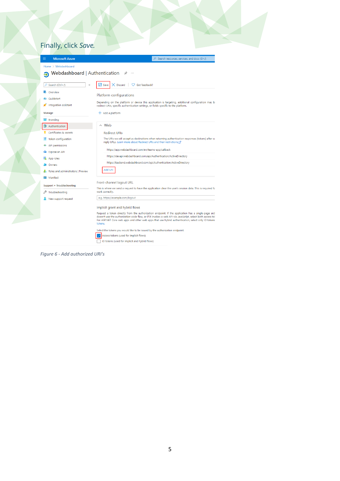# Finally, click *Save.*

| <b>Microsoft Azure</b><br>≡                        | $\mathcal{P}$ Search resources, services, and docs (G+/)                                                                                                                                                                                                                                                                           |  |  |  |  |  |
|----------------------------------------------------|------------------------------------------------------------------------------------------------------------------------------------------------------------------------------------------------------------------------------------------------------------------------------------------------------------------------------------|--|--|--|--|--|
| Home > Webdashboard                                |                                                                                                                                                                                                                                                                                                                                    |  |  |  |  |  |
| <b>Webdashboard</b>   Authentication $\mathcal{P}$ |                                                                                                                                                                                                                                                                                                                                    |  |  |  |  |  |
| Ω<br>Search (Ctrl+/)<br>$\ll$                      | $\Box$ Save<br>$\times$ Discard<br>$\heartsuit$ Got feedback?                                                                                                                                                                                                                                                                      |  |  |  |  |  |
| Overview<br>Quickstart                             | Platform configurations                                                                                                                                                                                                                                                                                                            |  |  |  |  |  |
| Integration assistant                              | Depending on the platform or device this application is targeting, additional configuration may be<br>redirect URIs, specific authentication settings, or fields specific to the platform.                                                                                                                                         |  |  |  |  |  |
| Manage                                             | $+$ Add a platform                                                                                                                                                                                                                                                                                                                 |  |  |  |  |  |
| <b>Branding</b>                                    |                                                                                                                                                                                                                                                                                                                                    |  |  |  |  |  |
| Э<br>Authentication                                | $\land$ Web                                                                                                                                                                                                                                                                                                                        |  |  |  |  |  |
| Certificates & secrets                             | <b>Redirect URIs</b>                                                                                                                                                                                                                                                                                                               |  |  |  |  |  |
| Token configuration<br>ш                           | The URIs we will accept as destinations when returning authentication responses (tokens) after su                                                                                                                                                                                                                                  |  |  |  |  |  |
| <b>API permissions</b>                             | reply URLs. Learn more about Redirect URIs and their restrictions                                                                                                                                                                                                                                                                  |  |  |  |  |  |
| Expose an API                                      | https://app.webdashboard.com/en/teams-app/callback                                                                                                                                                                                                                                                                                 |  |  |  |  |  |
| App roles                                          | https://devapi.webdashboard.com/api/Authentication/ActiveDirectory                                                                                                                                                                                                                                                                 |  |  |  |  |  |
| Owners                                             | https://backend.webdashboard.com/api/Authentication/ActiveDirectory                                                                                                                                                                                                                                                                |  |  |  |  |  |
| Roles and administrators   Preview                 | Add URI                                                                                                                                                                                                                                                                                                                            |  |  |  |  |  |
| Manifest                                           |                                                                                                                                                                                                                                                                                                                                    |  |  |  |  |  |
|                                                    | Front-channel logout URL                                                                                                                                                                                                                                                                                                           |  |  |  |  |  |
| Support + Troubleshooting<br>Troubleshooting       | This is where we send a request to have the application clear the user's session data. This is required fo<br>work correctly.                                                                                                                                                                                                      |  |  |  |  |  |
| New support request                                | e.g. https://example.com/logout                                                                                                                                                                                                                                                                                                    |  |  |  |  |  |
|                                                    | Implicit grant and hybrid flows                                                                                                                                                                                                                                                                                                    |  |  |  |  |  |
|                                                    | Request a token directly from the authorization endpoint. If the application has a single-page arch<br>doesn't use the authorization code flow, or if it invokes a web API via JavaScript, select both access tol<br>For ASP.NET Core web apps and other web apps that use hybrid authentication, select only ID tokens<br>tokens. |  |  |  |  |  |
|                                                    | Select the tokens you would like to be issued by the authorization endpoint:                                                                                                                                                                                                                                                       |  |  |  |  |  |
|                                                    | Access tokens (used for implicit flows)                                                                                                                                                                                                                                                                                            |  |  |  |  |  |
|                                                    | ID tokens (used for implicit and hybrid flows)                                                                                                                                                                                                                                                                                     |  |  |  |  |  |

*Figure 6 - Add authorized URI's*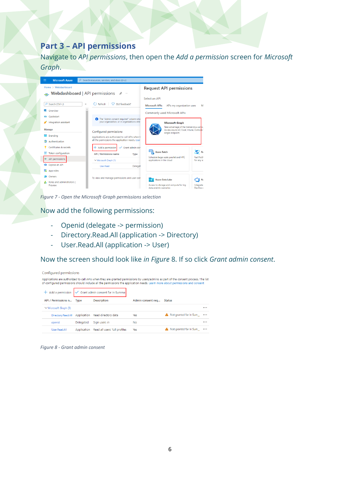## <span id="page-5-0"></span>**Part 3 – API permissions**

Navigate to *API permissions*, then open the *Add a permission* screen for *Microsoft Graph*.



*Figure 7 - Open the Microsoft Graph permissions selection*

Now add the following permissions:

- Openid (delegate -> permission)
- Directory.Read.All (application -> Directory)
- User.Read.All (application -> User)

Now the screen should look like *in Figure* 8. If so click *Grant admin consent*.

| Configured permissions     |             |                                                                   |                   |                                                                                                                                                                                                                                                                     |          |
|----------------------------|-------------|-------------------------------------------------------------------|-------------------|---------------------------------------------------------------------------------------------------------------------------------------------------------------------------------------------------------------------------------------------------------------------|----------|
|                            |             |                                                                   |                   | Applications are authorized to call APIs when they are granted permissions by users/admins as part of the consent process. The list<br>of configured permissions should include all the permissions the application needs. Learn more about permissions and consent |          |
|                            |             | $+$ Add a permission $\sqrt{\ }$ Grant admin consent for In Summa |                   |                                                                                                                                                                                                                                                                     |          |
| API / Permissions n Type   |             | <b>Description</b>                                                | Admin consent req | <b>Status</b>                                                                                                                                                                                                                                                       |          |
| $\vee$ Microsoft Graph (3) |             |                                                                   |                   |                                                                                                                                                                                                                                                                     | $\cdots$ |
| Directory.Read.All         | Application | Read directory data                                               | Yes               | A Not granted for In Sum                                                                                                                                                                                                                                            |          |
| openid                     | Delegated   | Sian users in                                                     | No                |                                                                                                                                                                                                                                                                     |          |
| User, Read, All            | Application | Read all users' full profiles                                     | Yes               | Not granted for In Sum                                                                                                                                                                                                                                              |          |
|                            |             |                                                                   |                   |                                                                                                                                                                                                                                                                     |          |

*Figure 8 - Grant admin consent*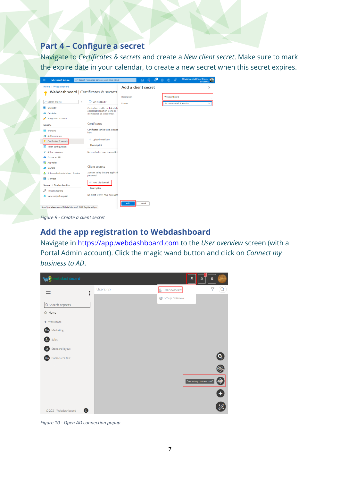#### <span id="page-6-0"></span>**Part 4 – Configure a secret**

Navigate to *Certificates & secrets* and create a *New client secret*. Make sure to mark the expire date in your calendar, to create a new secret when this secret expires.

| <b>Microsoft Azure</b><br>$\equiv$                         | $P$ Search resources, services, and docs (G+/)                        |                     | 侷<br>$\boxed{\Sigma}$ | 63<br>$\circledR$ | ஒ                     | Olivier.vandeRhoer@ins<br>IN SUMMA |
|------------------------------------------------------------|-----------------------------------------------------------------------|---------------------|-----------------------|-------------------|-----------------------|------------------------------------|
| Home > Webdashboard                                        |                                                                       | Add a client secret |                       |                   |                       | ×                                  |
| Webdashboard   Certificates & secrets                      |                                                                       |                     |                       |                   |                       |                                    |
|                                                            |                                                                       | <b>Description</b>  |                       | Webdashboard      |                       |                                    |
| Ctrl+/)<br>$\ll$                                           | Got feedback?                                                         | Expires             |                       |                   | Recommended: 6 months |                                    |
| Overview                                                   | Credentials enable confidential a<br>addressable location (using an H |                     |                       |                   |                       |                                    |
| Quickstart                                                 | client secret) as a credential.                                       |                     |                       |                   |                       |                                    |
| Integration assistant                                      |                                                                       |                     |                       |                   |                       |                                    |
| Manage                                                     | Certificates                                                          |                     |                       |                   |                       |                                    |
| <b>Branding</b>                                            | Certificates can be used as secre<br>keys.                            |                     |                       |                   |                       |                                    |
| Authentication<br>∍                                        |                                                                       |                     |                       |                   |                       |                                    |
| Certificates & secrets                                     | 추<br>Upload certificate                                               |                     |                       |                   |                       |                                    |
| Token configuration                                        | Thumbprint                                                            |                     |                       |                   |                       |                                    |
| <b>API permissions</b><br>÷                                | No certificates have been added                                       |                     |                       |                   |                       |                                    |
| Expose an API<br>ھە                                        |                                                                       |                     |                       |                   |                       |                                    |
| App roles<br>链                                             |                                                                       |                     |                       |                   |                       |                                    |
| Owners<br>22                                               | <b>Client secrets</b>                                                 |                     |                       |                   |                       |                                    |
| Roles and administrators   Preview                         | A secret string that the applicatio<br>password.                      |                     |                       |                   |                       |                                    |
| Manifest<br>m                                              |                                                                       |                     |                       |                   |                       |                                    |
| Support + Troubleshooting                                  | $+$ New client secret                                                 |                     |                       |                   |                       |                                    |
| Troubleshooting<br>P                                       | <b>Description</b>                                                    |                     |                       |                   |                       |                                    |
| New support request                                        | No client secrets have been crea                                      |                     |                       |                   |                       |                                    |
|                                                            |                                                                       | Add                 | Cancel                |                   |                       |                                    |
| https://portal.azure.com/#blade/Microsoft AAD RegisteredAp |                                                                       |                     |                       |                   |                       |                                    |

*Figure 9 - Create a client secret*

#### <span id="page-6-1"></span>**Add the app registration to Webdashboard**

Navigate in [https://app.webdashboard.com](https://app.webdashboard.com/) to the *User overview* screen (with a Portal Admin account). Click the magic wand button and click on *Connect my business to AD*.



*Figure 10 - Open AD connection popup*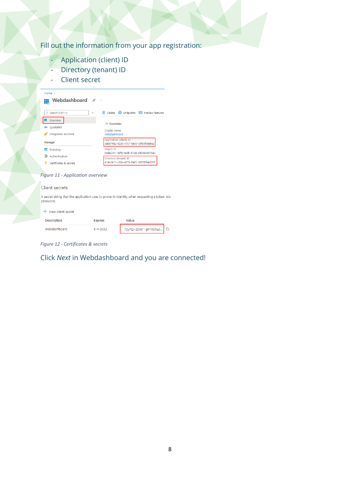## Fill out the information from your app registration:

- **Application (client) ID**
- Directory (tenant) ID
- Client secret

| Home $>$<br>Webdashboard $\mathscr{R}$<br>₩ |                                                                  |  |  |  |
|---------------------------------------------|------------------------------------------------------------------|--|--|--|
| $\rho$ Search (Ctrl+ $\wedge$               | Delete<br>Endpoints <b>Bullet</b> Preview features<br>$\ll$<br>п |  |  |  |
| I Overview                                  |                                                                  |  |  |  |
| Ouickstart<br>ぶふ                            | $\land$ Essentials                                               |  |  |  |
| Integration assistant                       | Display name<br>Webdashboard                                     |  |  |  |
| Manage                                      | Application (client) ID<br>5ab97982-923c-47c7-8e50-c8fdcf69ab62  |  |  |  |
| <b>Branding</b><br><b>Marie</b>             | Object ID                                                        |  |  |  |
| Authentication<br>அ                         | 0c9a2791-48f8-4e3b-b72e-c404e40d76e2                             |  |  |  |
| Certificates & secrets                      | Directory (tenant) ID<br>414e2611-c30e-427a-8401-0357654e931f    |  |  |  |

#### *Figure 11 - Application overview*

#### Client secrets

A secret string that the application uses to prove its identity when requesting a token. Also<br>password.

#### $+$  New client secret

| <b>Description</b> | <b>Expires</b> | Value                    |  |
|--------------------|----------------|--------------------------|--|
| Webdashboard       | $5 - 4 - 2022$ | 1 72y7Q~zSm7~pPFliSRuo 1 |  |

*Figure 12 - Certificates & secrets*

#### Click *Next* in Webdashboard and you are connected!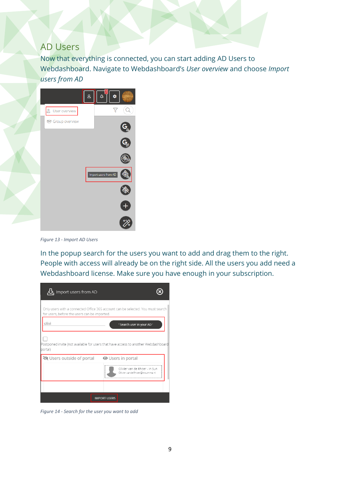#### <span id="page-8-0"></span>AD Users

Now that everything is connected, you can start adding AD Users to Webdashboard. Navigate to Webdashboard's *User overview* and choose *Import users from AD*



*Figure 13 - Import AD Users*

In the popup search for the users you want to add and drag them to the right. People with access will already be on the right side. All the users you add need a Webdashboard license. Make sure you have enough in your subscription.

| Import users from AD                                                                                                            |                          |                                                                |
|---------------------------------------------------------------------------------------------------------------------------------|--------------------------|----------------------------------------------------------------|
| Only users with a connected Office 365 account can be selected. You must search<br>for users, before the users can be imported. |                          |                                                                |
| olivi                                                                                                                           |                          | ' Search user in your AD '                                     |
| Postponed invite (not available for users that have access to another Webdashboard<br>portal)                                   |                          |                                                                |
| <b>◎</b> Users outside of portal                                                                                                | <b>◎</b> Users in portal | Olivier van de Rhoer - In Sun<br>Olivier.vandeRhoer@insumma.nl |
|                                                                                                                                 |                          |                                                                |
|                                                                                                                                 | <b>IMPORT USERS</b>      |                                                                |

*Figure 14 - Search for the user you want to add*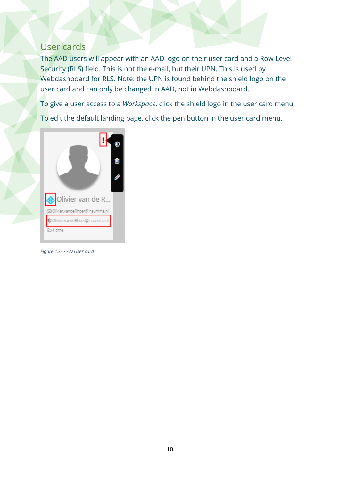## <span id="page-9-0"></span>User cards

The AAD users will appear with an AAD logo on their user card and a Row Level Security (RLS) field. This is not the e-mail, but their UPN. This is used by Webdashboard for RLS. Note: the UPN is found behind the shield logo on the user card and can only be changed in AAD, not in Webdashboard.

To give a user access to a *Workspace*, click the shield logo in the user card menu.

To edit the default landing page, click the pen button in the user card menu.



*Figure 15 - AAD User card*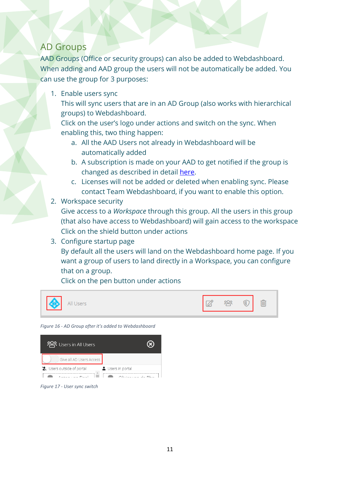## <span id="page-10-0"></span>AD Groups

AAD Groups (Office or security groups) can also be added to Webdashboard. When adding and AAD group the users will not be automatically be added. You can use the group for 3 purposes:

1. Enable users sync

This will sync users that are in an AD Group (also works with hierarchical groups) to Webdashboard.

Click on the user's logo under actions and switch on the sync. When enabling this, two thing happen:

- a. All the AAD Users not already in Webdashboard will be automatically added
- b. A subscription is made on your AAD to get notified if the group is changed as described in detail [here.](https://docs.microsoft.com/en-us/graph/api/resources/group?view=graph-rest-1.0)
- c. Licenses will not be added or deleted when enabling sync. Please contact Team Webdashboard, if you want to enable this option.
- 2. Workspace security

Give access to a *Workspace* through this group. All the users in this group (that also have access to Webdashboard) will gain access to the workspace Click on the shield button under actions

3. Configure startup page

By default all the users will land on the Webdashboard home page. If you want a group of users to land directly in a Workspace, you can configure that on a group.

Click on the pen button under actions



*Figure 16 - AD Group after it's added to Webdashboard*



*Figure 17 - User sync switch*